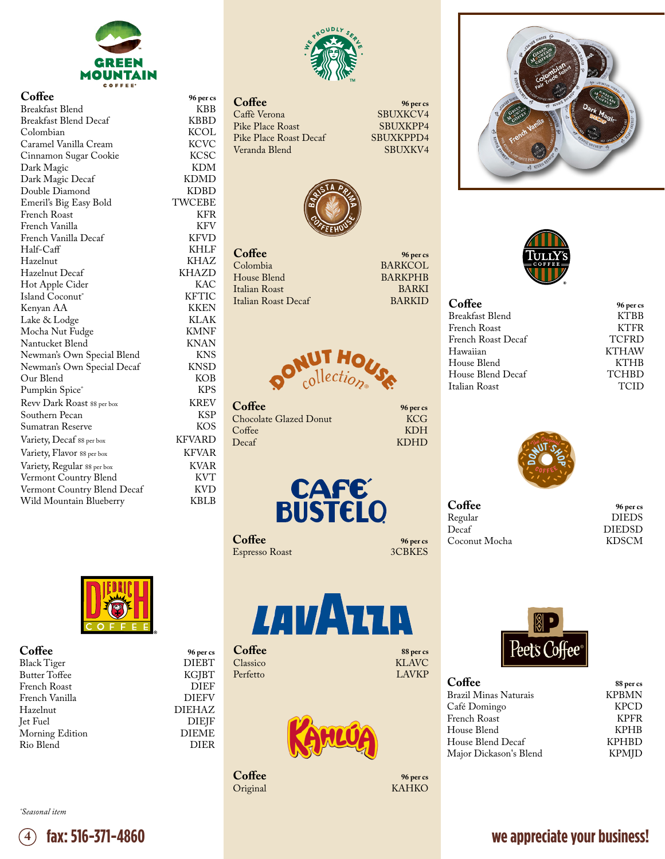

**Coffee 96 per cs** Breakfast Blend KBB<br>Breakfast Blend Decaf KBBD Breakfast Blend Decaf KBBD<br>Colombian KCOL Colombian KCOL<br>Caramel Vanilla Cream KCVC Caramel Vanilla Cream KCVC<br>Cinnamon Sugar Cookie KCSC Cinnamon Sugar Cookie KCSC<br>Dark Magic KDM Dark Magic KDM Dark Magic Decaf KDMD Double Diamond KDBD Emeril's Big Easy Bold TWCEBE French Roast KFR French Vanilla KFV French Vanilla Decaf KFVD<br>Half-Caff KHLF Half-Caff KHLF Hazelnut KHAZ Hazelnut Decaf KHAZD Hot Apple Cider KAC<br>Island Coconut KETIC Island Coconut˚ KFTIC Kenyan AA KKEN Lake & Lodge KLAK Mocha Nut Fudge KMNF Nantucket Blend KNAN<br>Newman's Own Special Blend KNS Newman's Own Special Blend KNS<br>Newman's Own Special Decaf KNSD Newman's Own Special Decaf KNSD Our Blend KOB Pumpkin Spice® Revv Dark Roast 88 per box KREV Southern Pecan KSP<br>Sumatran Reserve KOS Sumatran Reserve Variety, Decaf 88 per box KFVARD Variety, Flavor 88 per box KFVAR<br>Variety, Regular 88 per box KVAR Variety, Regular 88 per box KVAR Vermont Country Blend<br>
Vermont Country Blend Decaf KVD Vermont Country Blend Decaf KVD<br>Wild Mountain Blueberry KBLB Wild Mountain Blueberry



Pike Place Roast<br>
Pike Place Roast Decaf SBUXKPPD4 Pike Place Roast Decaf SBUXKPPD4<br>Veranda Blend SBUXKV4 Veranda Blend

**Coffee 96 per cs** SBUXKCV4<br>SBUXKPP4

BARKCOL<br>BARKPHB



**Coffee** 96 per cs<br>
Colombia BARKCOL House Blend BARKPHB<br>Italian Roast BARKI Italian Roast BARKI Italian Roast Decaf



**Coffee 96 per cs** Chocolate Glazed Donut KCG<br>Coffee KDH Coffee KDH Decaf KDHD



**Coffee** 96 per cs<br> **Espresso Roast** 3CBKES Espresso Roast

| LAVATIA |  |  |
|---------|--|--|
|         |  |  |

**Coffee 88 per cs**<br>Classico **KLAVC** Classico KLAVC Perfetto LAVKP

DIEHAZ<br>DIEJF



**Coffee** 96 per cs<br> **96 per cs**<br> **Coriginal** Original





| Breakfast Blend<br>French Roast   | 96 per cs    |
|-----------------------------------|--------------|
|                                   | <b>KTBB</b>  |
|                                   | <b>KTFR</b>  |
| French Roast Decaf                | <b>TCFRD</b> |
| <b>KTHAW</b><br>Hawaiian          |              |
| House Blend                       | <b>KTHB</b>  |
| <b>TCHBD</b><br>House Blend Decaf |              |
| Italian Roast                     | <b>TCID</b>  |



**Coffee 96 per cs** Regular DIEDS<br>Decaf DIEDSD Coconut Mocha

DIEDSD<br>KDSCM



**Coffee 88 per cs** Brazil Minas Naturais **KPBMN** Café Domingo KPCD French Roast KPFR House Blend KPHB House Blend Decaf KPHBD Major Dickason's Blend

## *˚Seasonal item*

French Vanilla<br>Hazelnut

Rio Blend



**Coffee 96 per cs** Black Tiger DIEBT Butter Toffee KGJBT French Roast DIEF

Jet Fuel DIEJF Morning Edition DIEME

## **fax: 516-371-4860 we appreciate your business!**